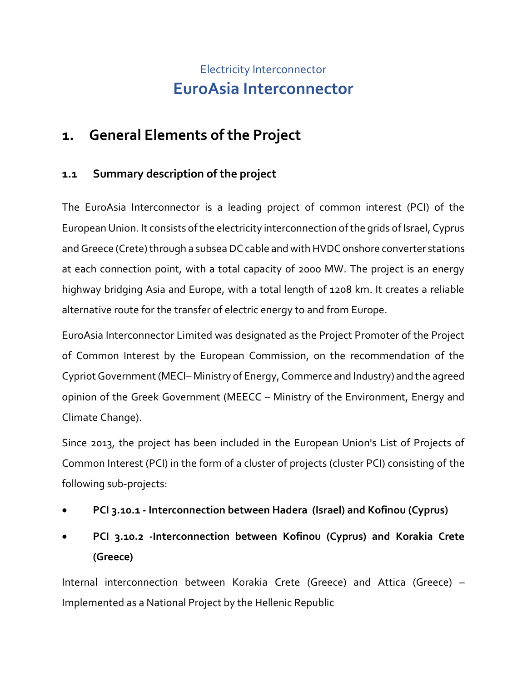# Electricity Interconnector **EuroAsia Interconnector**

## **1. General Elements of the Project**

### **1.1 Summary description of the project**

The EuroAsia Interconnector is a leading project of common interest (PCI) of the European Union. It consists of the electricity interconnection of the grids of Israel, Cyprus and Greece (Crete) through a subsea DC cable and with HVDC onshore converter stations at each connection point, with a total capacity of 2000 MW. The project is an energy highway bridging Asia and Europe, with a total length of 1208 km. It creates a reliable alternative route for the transfer of electric energy to and from Europe.

EuroAsia Interconnector Limited was designated as the Project Promoter of the Project of Common Interest by the European Commission, on the recommendation of the Cypriot Government (MECI– Ministry of Energy, Commerce and Industry) and the agreed opinion of the Greek Government (MEECC – Ministry of the Environment, Energy and Climate Change).

Since 2013, the project has been included in the European Union's List of Projects of Common Interest (PCI) in the form of a cluster of projects (cluster PCI) consisting of the following sub-projects:

- **PCI 3.10.1 - Interconnection between Hadera (Israel) and Kofinou (Cyprus)**
- **PCI 3.10.2 -Interconnection between Kofinou (Cyprus) and Korakia Crete (Greece)**

Internal interconnection between Korakia Crete (Greece) and Attica (Greece) – Implemented as a National Project by the Hellenic Republic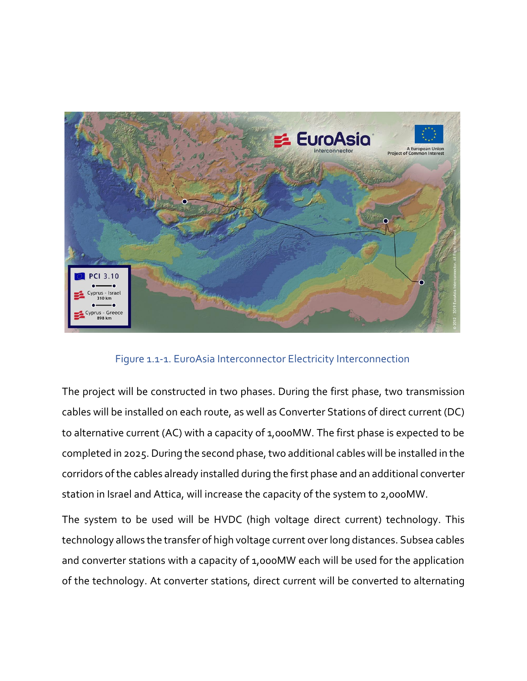

Figure 1.1-1. EuroAsia Interconnector Electricity Interconnection

The project will be constructed in two phases. During the first phase, two transmission cables will be installed on each route, as well as Converter Stations of direct current (DC) to alternative current (AC) with a capacity of 1,000MW. The first phase is expected to be completed in 2025. During the second phase, two additional cables will be installed in the corridors of the cables already installed during the first phase and an additional converter station in Israel and Attica, will increase the capacity of the system to 2,000MW.

The system to be used will be HVDC (high voltage direct current) technology. This technology allows the transfer of high voltage current over long distances. Subsea cables and converter stations with a capacity of 1,000MW each will be used for the application of the technology. At converter stations, direct current will be converted to alternating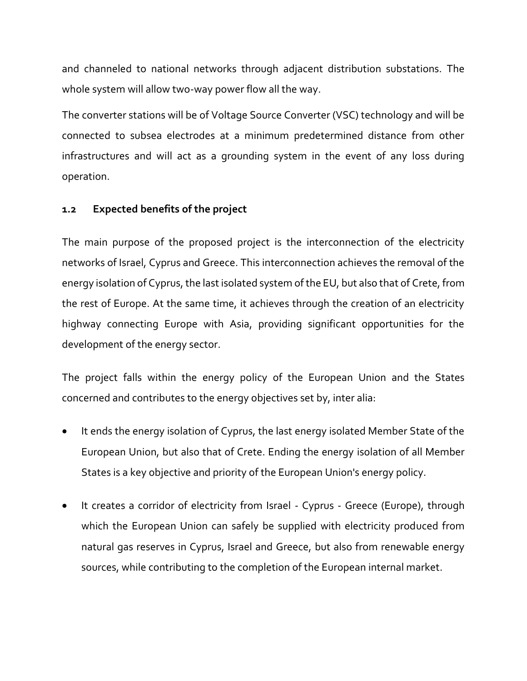and channeled to national networks through adjacent distribution substations. The whole system will allow two-way power flow all the way.

The converter stations will be of Voltage Source Converter (VSC) technology and will be connected to subsea electrodes at a minimum predetermined distance from other infrastructures and will act as a grounding system in the event of any loss during operation.

### **1.2 Expected benefits of the project**

The main purpose of the proposed project is the interconnection of the electricity networks of Israel, Cyprus and Greece. This interconnection achieves the removal of the energy isolation of Cyprus, the last isolated system of the EU, but also that of Crete, from the rest of Europe. At the same time, it achieves through the creation of an electricity highway connecting Europe with Asia, providing significant opportunities for the development of the energy sector.

The project falls within the energy policy of the European Union and the States concerned and contributes to the energy objectives set by, inter alia:

- It ends the energy isolation of Cyprus, the last energy isolated Member State of the European Union, but also that of Crete. Ending the energy isolation of all Member States is a key objective and priority of the European Union's energy policy.
- It creates a corridor of electricity from Israel Cyprus Greece (Europe), through which the European Union can safely be supplied with electricity produced from natural gas reserves in Cyprus, Israel and Greece, but also from renewable energy sources, while contributing to the completion of the European internal market.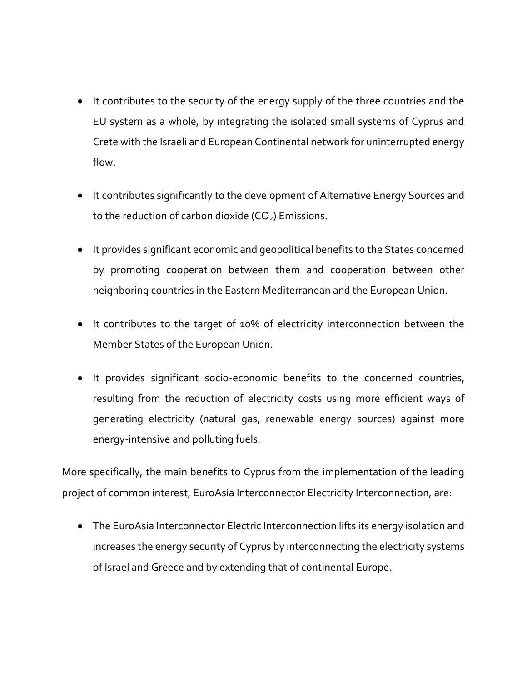- It contributes to the security of the energy supply of the three countries and the EU system as a whole, by integrating the isolated small systems of Cyprus and Crete with the Israeli and European Continental network for uninterrupted energy flow.
- It contributes significantly to the development of Alternative Energy Sources and to the reduction of carbon dioxide  $(CO<sub>2</sub>)$  Emissions.
- It provides significant economic and geopolitical benefits to the States concerned by promoting cooperation between them and cooperation between other neighboring countries in the Eastern Mediterranean and the European Union.
- It contributes to the target of 10% of electricity interconnection between the Member States of the European Union.
- It provides significant socio-economic benefits to the concerned countries, resulting from the reduction of electricity costs using more efficient ways of generating electricity (natural gas, renewable energy sources) against more energy-intensive and polluting fuels.

More specifically, the main benefits to Cyprus from the implementation of the leading project of common interest, EuroAsia Interconnector Electricity Interconnection, are:

• The EuroAsia Interconnector Electric Interconnection lifts its energy isolation and increases the energy security of Cyprus by interconnecting the electricity systems of Israel and Greece and by extending that of continental Europe.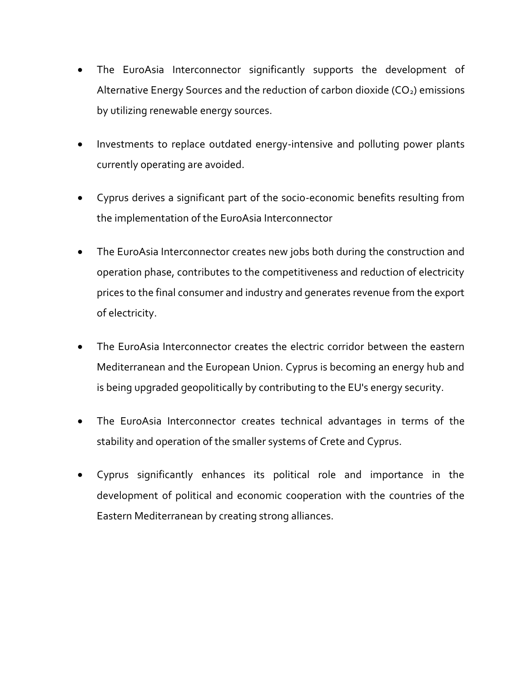- The EuroAsia Interconnector significantly supports the development of Alternative Energy Sources and the reduction of carbon dioxide  $(CO<sub>2</sub>)$  emissions by utilizing renewable energy sources.
- Investments to replace outdated energy-intensive and polluting power plants currently operating are avoided.
- Cyprus derives a significant part of the socio-economic benefits resulting from the implementation of the EuroAsia Interconnector
- The EuroAsia Interconnector creates new jobs both during the construction and operation phase, contributes to the competitiveness and reduction of electricity prices to the final consumer and industry and generates revenue from the export of electricity.
- The EuroAsia Interconnector creates the electric corridor between the eastern Mediterranean and the European Union. Cyprus is becoming an energy hub and is being upgraded geopolitically by contributing to the EU's energy security.
- The EuroAsia Interconnector creates technical advantages in terms of the stability and operation of the smaller systems of Crete and Cyprus.
- Cyprus significantly enhances its political role and importance in the development of political and economic cooperation with the countries of the Eastern Mediterranean by creating strong alliances.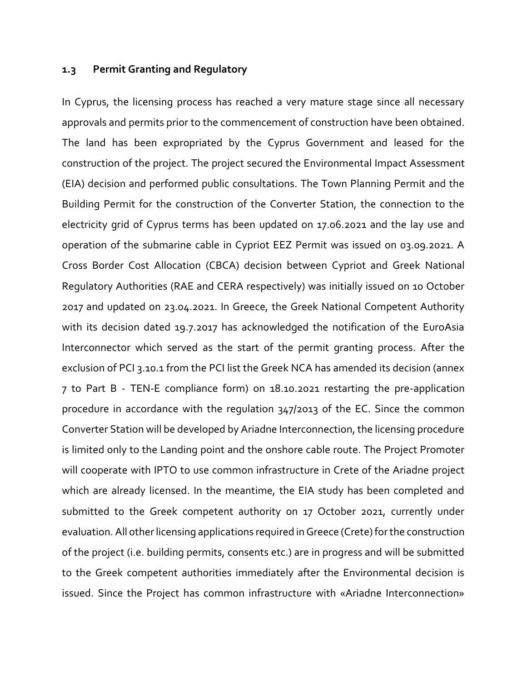#### **1.3 Permit Granting and Regulatory**

In Cyprus, the licensing process has reached a very mature stage since all necessary approvals and permits prior to the commencement of construction have been obtained. The land has been expropriated by the Cyprus Government and leased for the construction of the project. The project secured the Environmental Impact Assessment (EIA) decision and performed public consultations. The Town Planning Permit and the Building Permit for the construction of the Converter Station, the connection to the electricity grid of Cyprus terms has been updated on 17.06.2021 and the lay use and operation of the submarine cable in Cypriot EEZ Permit was issued on 03.09.2021. A Cross Border Cost Allocation (CBCA) decision between Cypriot and Greek National Regulatory Authorities (RAE and CERA respectively) was initially issued on 10 October 2017 and updated on 23.04.2021. In Greece, the Greek National Competent Authority with its decision dated 19.7.2017 has acknowledged the notification of the EuroAsia Interconnector which served as the start of the permit granting process. After the exclusion of PCI 3.10.1 from the PCI list the Greek NCA has amended its decision (annex 7 to Part B - TEN-E compliance form) on 18.10.2021 restarting the pre-application procedure in accordance with the regulation 347/2013 of the EC. Since the common Converter Station will be developed by Ariadne Interconnection, the licensing procedure is limited only to the Landing point and the onshore cable route. The Project Promoter will cooperate with IPTO to use common infrastructure in Crete of the Ariadne project which are already licensed. In the meantime, the EIA study has been completed and submitted to the Greek competent authority on 17 October 2021, currently under evaluation. All other licensing applications required in Greece (Crete) for the construction of the project (i.e. building permits, consents etc.) are in progress and will be submitted to the Greek competent authorities immediately after the Environmental decision is issued. Since the Project has common infrastructure with «Ariadne Interconnection»